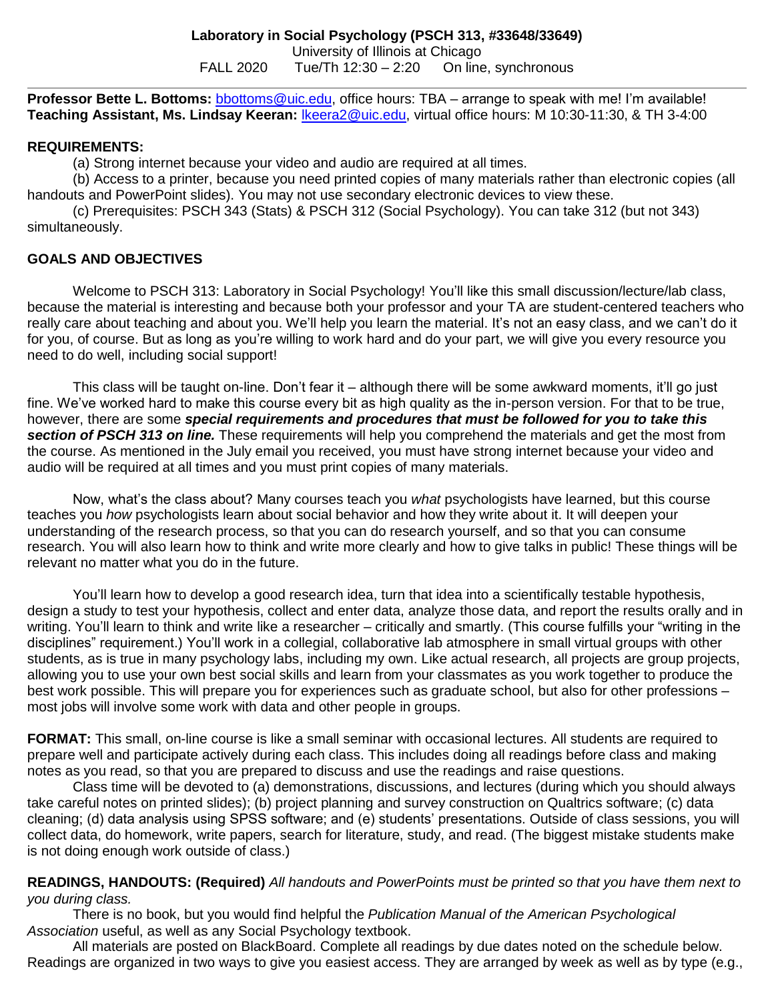**Professor Bette L. Bottoms:** [bbottoms@uic.edu,](mailto:bbottoms@uic.edu) office hours: TBA – arrange to speak with me! I'm available! **Teaching Assistant, Ms. Lindsay Keeran:** [lkeera2@uic.edu,](mailto:lkeera2@uic.edu) virtual office hours: M 10:30-11:30, & TH 3-4:00

#### **REQUIREMENTS:**

(a) Strong internet because your video and audio are required at all times.

(b) Access to a printer, because you need printed copies of many materials rather than electronic copies (all handouts and PowerPoint slides). You may not use secondary electronic devices to view these.

(c) Prerequisites: PSCH 343 (Stats) & PSCH 312 (Social Psychology). You can take 312 (but not 343) simultaneously.

## **GOALS AND OBJECTIVES**

Welcome to PSCH 313: Laboratory in Social Psychology! You'll like this small discussion/lecture/lab class, because the material is interesting and because both your professor and your TA are student-centered teachers who really care about teaching and about you. We'll help you learn the material. It's not an easy class, and we can't do it for you, of course. But as long as you're willing to work hard and do your part, we will give you every resource you need to do well, including social support!

This class will be taught on-line. Don't fear it – although there will be some awkward moments, it'll go just fine. We've worked hard to make this course every bit as high quality as the in-person version. For that to be true, however, there are some *special requirements and procedures that must be followed for you to take this section of PSCH 313 on line.* These requirements will help you comprehend the materials and get the most from the course. As mentioned in the July email you received, you must have strong internet because your video and audio will be required at all times and you must print copies of many materials.

Now, what's the class about? Many courses teach you *what* psychologists have learned, but this course teaches you *how* psychologists learn about social behavior and how they write about it. It will deepen your understanding of the research process, so that you can do research yourself, and so that you can consume research. You will also learn how to think and write more clearly and how to give talks in public! These things will be relevant no matter what you do in the future.

You'll learn how to develop a good research idea, turn that idea into a scientifically testable hypothesis, design a study to test your hypothesis, collect and enter data, analyze those data, and report the results orally and in writing. You'll learn to think and write like a researcher – critically and smartly. (This course fulfills your "writing in the disciplines" requirement.) You'll work in a collegial, collaborative lab atmosphere in small virtual groups with other students, as is true in many psychology labs, including my own. Like actual research, all projects are group projects, allowing you to use your own best social skills and learn from your classmates as you work together to produce the best work possible. This will prepare you for experiences such as graduate school, but also for other professions – most jobs will involve some work with data and other people in groups.

**FORMAT:** This small, on-line course is like a small seminar with occasional lectures. All students are required to prepare well and participate actively during each class. This includes doing all readings before class and making notes as you read, so that you are prepared to discuss and use the readings and raise questions.

Class time will be devoted to (a) demonstrations, discussions, and lectures (during which you should always take careful notes on printed slides); (b) project planning and survey construction on Qualtrics software; (c) data cleaning; (d) data analysis using SPSS software; and (e) students' presentations. Outside of class sessions, you will collect data, do homework, write papers, search for literature, study, and read. (The biggest mistake students make is not doing enough work outside of class.)

### **READINGS, HANDOUTS: (Required)** *All handouts and PowerPoints must be printed so that you have them next to you during class.*

There is no book, but you would find helpful the *Publication Manual of the American Psychological Association* useful, as well as any Social Psychology textbook.

All materials are posted on BlackBoard. Complete all readings by due dates noted on the schedule below. Readings are organized in two ways to give you easiest access. They are arranged by week as well as by type (e.g.,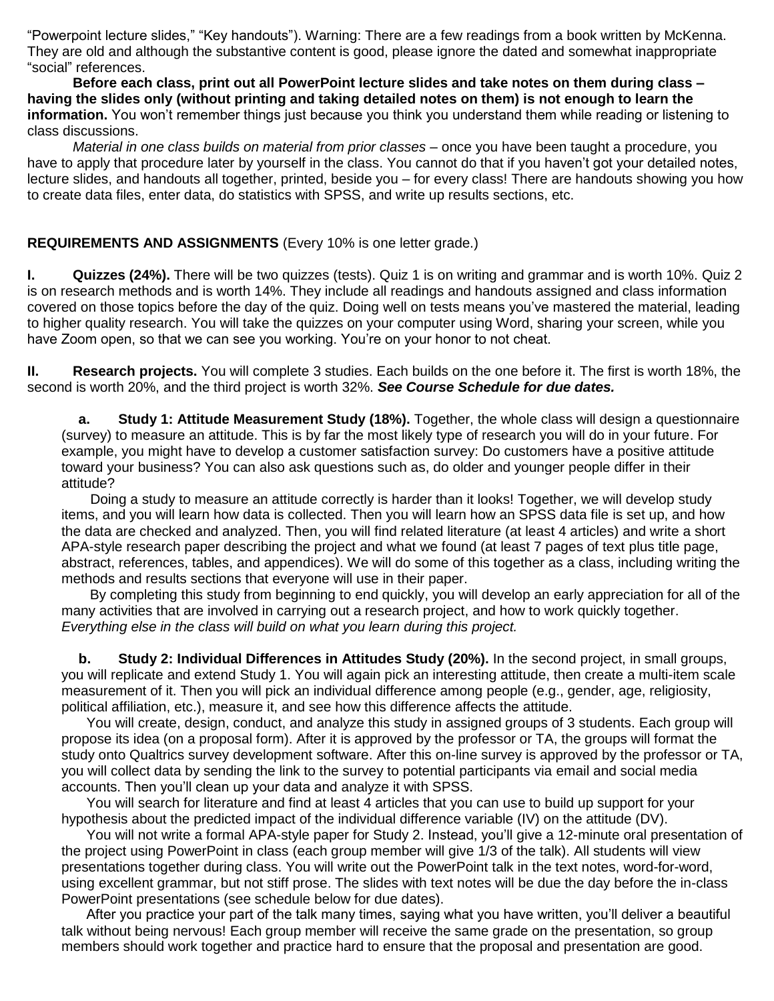"Powerpoint lecture slides," "Key handouts"). Warning: There are a few readings from a book written by McKenna. They are old and although the substantive content is good, please ignore the dated and somewhat inappropriate "social" references.

**Before each class, print out all PowerPoint lecture slides and take notes on them during class – having the slides only (without printing and taking detailed notes on them) is not enough to learn the information.** You won't remember things just because you think you understand them while reading or listening to class discussions.

*Material in one class builds on material from prior classes* – once you have been taught a procedure, you have to apply that procedure later by yourself in the class. You cannot do that if you haven't got your detailed notes, lecture slides, and handouts all together, printed, beside you – for every class! There are handouts showing you how to create data files, enter data, do statistics with SPSS, and write up results sections, etc.

### **REQUIREMENTS AND ASSIGNMENTS** (Every 10% is one letter grade.)

**I. Quizzes (24%).** There will be two quizzes (tests). Quiz 1 is on writing and grammar and is worth 10%. Quiz 2 is on research methods and is worth 14%. They include all readings and handouts assigned and class information covered on those topics before the day of the quiz. Doing well on tests means you've mastered the material, leading to higher quality research. You will take the quizzes on your computer using Word, sharing your screen, while you have Zoom open, so that we can see you working. You're on your honor to not cheat.

**II. Research projects.** You will complete 3 studies. Each builds on the one before it. The first is worth 18%, the second is worth 20%, and the third project is worth 32%. *See Course Schedule for due dates.*

**a. Study 1: Attitude Measurement Study (18%).** Together, the whole class will design a questionnaire (survey) to measure an attitude. This is by far the most likely type of research you will do in your future. For example, you might have to develop a customer satisfaction survey: Do customers have a positive attitude toward your business? You can also ask questions such as, do older and younger people differ in their attitude?

Doing a study to measure an attitude correctly is harder than it looks! Together, we will develop study items, and you will learn how data is collected. Then you will learn how an SPSS data file is set up, and how the data are checked and analyzed. Then, you will find related literature (at least 4 articles) and write a short APA-style research paper describing the project and what we found (at least 7 pages of text plus title page, abstract, references, tables, and appendices). We will do some of this together as a class, including writing the methods and results sections that everyone will use in their paper.

By completing this study from beginning to end quickly, you will develop an early appreciation for all of the many activities that are involved in carrying out a research project, and how to work quickly together. *Everything else in the class will build on what you learn during this project.*

**b. Study 2: Individual Differences in Attitudes Study (20%).** In the second project, in small groups, you will replicate and extend Study 1. You will again pick an interesting attitude, then create a multi-item scale measurement of it. Then you will pick an individual difference among people (e.g., gender, age, religiosity, political affiliation, etc.), measure it, and see how this difference affects the attitude.

 You will create, design, conduct, and analyze this study in assigned groups of 3 students. Each group will propose its idea (on a proposal form). After it is approved by the professor or TA, the groups will format the study onto Qualtrics survey development software. After this on-line survey is approved by the professor or TA, you will collect data by sending the link to the survey to potential participants via email and social media accounts. Then you'll clean up your data and analyze it with SPSS.

 You will search for literature and find at least 4 articles that you can use to build up support for your hypothesis about the predicted impact of the individual difference variable (IV) on the attitude (DV).

You will not write a formal APA-style paper for Study 2. Instead, you'll give a 12-minute oral presentation of the project using PowerPoint in class (each group member will give 1/3 of the talk). All students will view presentations together during class. You will write out the PowerPoint talk in the text notes, word-for-word, using excellent grammar, but not stiff prose. The slides with text notes will be due the day before the in-class PowerPoint presentations (see schedule below for due dates).

 After you practice your part of the talk many times, saying what you have written, you'll deliver a beautiful talk without being nervous! Each group member will receive the same grade on the presentation, so group members should work together and practice hard to ensure that the proposal and presentation are good.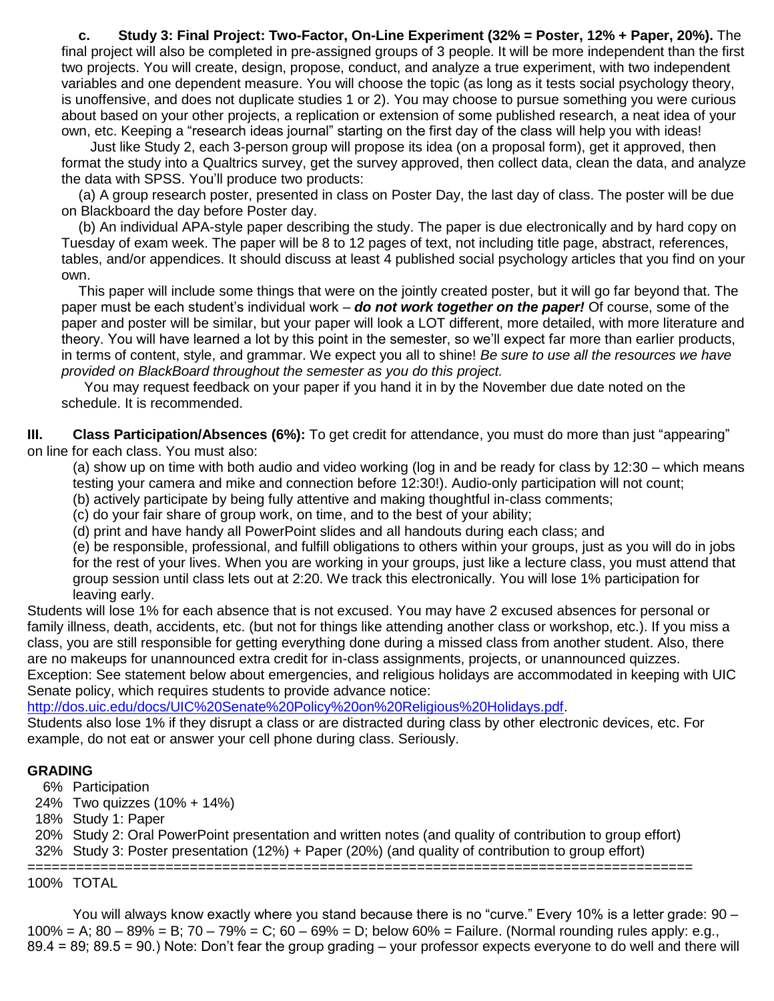**c. Study 3: Final Project: Two-Factor, On-Line Experiment (32% = Poster, 12% + Paper, 20%).** The final project will also be completed in pre-assigned groups of 3 people. It will be more independent than the first two projects. You will create, design, propose, conduct, and analyze a true experiment, with two independent variables and one dependent measure. You will choose the topic (as long as it tests social psychology theory, is unoffensive, and does not duplicate studies 1 or 2). You may choose to pursue something you were curious about based on your other projects, a replication or extension of some published research, a neat idea of your own, etc. Keeping a "research ideas journal" starting on the first day of the class will help you with ideas!

 Just like Study 2, each 3-person group will propose its idea (on a proposal form), get it approved, then format the study into a Qualtrics survey, get the survey approved, then collect data, clean the data, and analyze the data with SPSS. You'll produce two products:

(a) A group research poster, presented in class on Poster Day, the last day of class. The poster will be due on Blackboard the day before Poster day.

(b) An individual APA-style paper describing the study. The paper is due electronically and by hard copy on Tuesday of exam week. The paper will be 8 to 12 pages of text, not including title page, abstract, references, tables, and/or appendices. It should discuss at least 4 published social psychology articles that you find on your own.

This paper will include some things that were on the jointly created poster, but it will go far beyond that. The paper must be each student's individual work – *do not work together on the paper!* Of course, some of the paper and poster will be similar, but your paper will look a LOT different, more detailed, with more literature and theory. You will have learned a lot by this point in the semester, so we'll expect far more than earlier products, in terms of content, style, and grammar. We expect you all to shine! *Be sure to use all the resources we have provided on BlackBoard throughout the semester as you do this project.*

You may request feedback on your paper if you hand it in by the November due date noted on the schedule. It is recommended.

**III. Class Participation/Absences (6%):** To get credit for attendance, you must do more than just "appearing" on line for each class. You must also:

(a) show up on time with both audio and video working (log in and be ready for class by 12:30 – which means testing your camera and mike and connection before 12:30!). Audio-only participation will not count;

(b) actively participate by being fully attentive and making thoughtful in-class comments;

(c) do your fair share of group work, on time, and to the best of your ability;

(d) print and have handy all PowerPoint slides and all handouts during each class; and

(e) be responsible, professional, and fulfill obligations to others within your groups, just as you will do in jobs for the rest of your lives. When you are working in your groups, just like a lecture class, you must attend that group session until class lets out at 2:20. We track this electronically. You will lose 1% participation for leaving early.

Students will lose 1% for each absence that is not excused. You may have 2 excused absences for personal or family illness, death, accidents, etc. (but not for things like attending another class or workshop, etc.). If you miss a class, you are still responsible for getting everything done during a missed class from another student. Also, there are no makeups for unannounced extra credit for in-class assignments, projects, or unannounced quizzes. Exception: See statement below about emergencies, and religious holidays are accommodated in keeping with UIC Senate policy, which requires students to provide advance notice:

[http://dos.uic.edu/docs/UIC%20Senate%20Policy%20on%20Religious%20Holidays.pdf.](http://dos.uic.edu/docs/UIC%20Senate%20Policy%20on%20Religious%20Holidays.pdf)

Students also lose 1% if they disrupt a class or are distracted during class by other electronic devices, etc. For example, do not eat or answer your cell phone during class. Seriously.

#### **GRADING**

6% Participation

24% Two quizzes (10% + 14%)

18% Study 1: Paper

20% Study 2: Oral PowerPoint presentation and written notes (and quality of contribution to group effort)

==================================================================================

32% Study 3: Poster presentation (12%) + Paper (20%) (and quality of contribution to group effort)

100% TOTAL

You will always know exactly where you stand because there is no "curve." Every 10% is a letter grade: 90 – 100% = A; 80 – 89% = B; 70 – 79% = C; 60 – 69% = D; below 60% = Failure. (Normal rounding rules apply: e.g., 89.4 = 89; 89.5 = 90.) Note: Don't fear the group grading – your professor expects everyone to do well and there will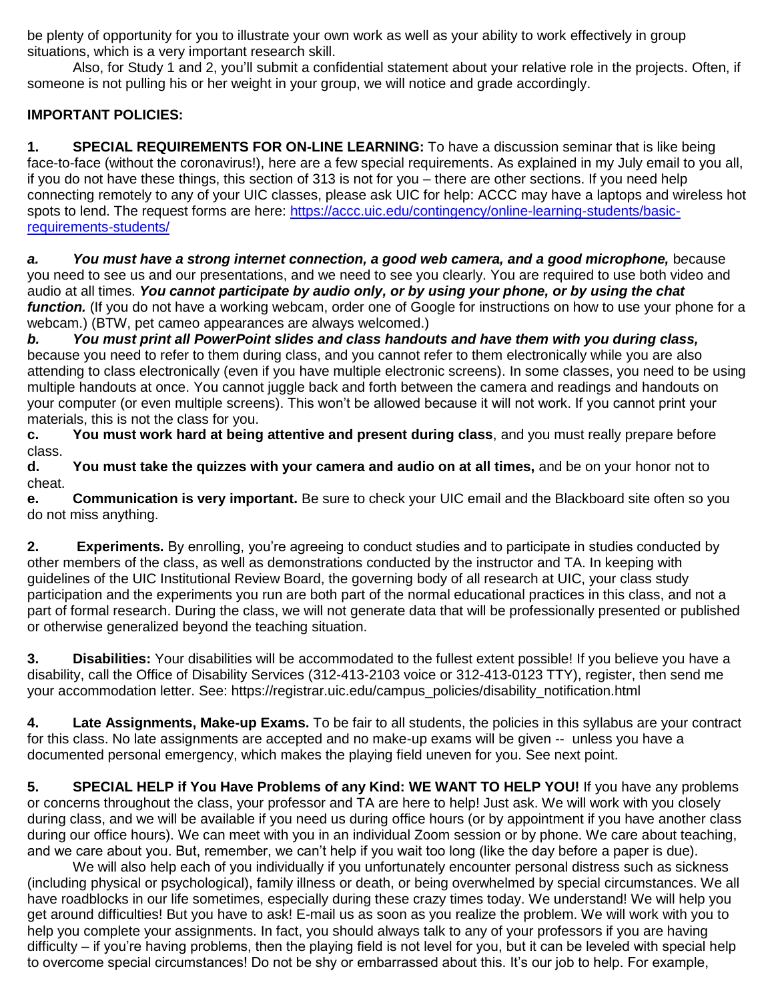be plenty of opportunity for you to illustrate your own work as well as your ability to work effectively in group situations, which is a very important research skill.

Also, for Study 1 and 2, you'll submit a confidential statement about your relative role in the projects. Often, if someone is not pulling his or her weight in your group, we will notice and grade accordingly.

# **IMPORTANT POLICIES:**

**1. SPECIAL REQUIREMENTS FOR ON-LINE LEARNING:** To have a discussion seminar that is like being face-to-face (without the coronavirus!), here are a few special requirements. As explained in my July email to you all, if you do not have these things, this section of 313 is not for you – there are other sections. If you need help connecting remotely to any of your UIC classes, please ask UIC for help: ACCC may have a laptops and wireless hot spots to lend. The request forms are here: [https://accc.uic.edu/contingency/online-learning-students/basic](https://accc.uic.edu/contingency/online-learning-students/basic-requirements-students/)[requirements-students/](https://accc.uic.edu/contingency/online-learning-students/basic-requirements-students/)

*a. You must have a strong internet connection, a good web camera, and a good microphone,* b*e*cause you need to see us and our presentations, and we need to see you clearly. You are required to use both video and audio at all times. *You cannot participate by audio only, or by using your phone, or by using the chat function.* (If you do not have a working webcam, order one of Google for instructions on how to use your phone for a webcam.) (BTW, pet cameo appearances are always welcomed.)

*b. You must print all PowerPoint slides and class handouts and have them with you during class,* because you need to refer to them during class, and you cannot refer to them electronically while you are also attending to class electronically (even if you have multiple electronic screens). In some classes, you need to be using multiple handouts at once. You cannot juggle back and forth between the camera and readings and handouts on your computer (or even multiple screens). This won't be allowed because it will not work. If you cannot print your materials, this is not the class for you.

**c. You must work hard at being attentive and present during class**, and you must really prepare before class.

**d. You must take the quizzes with your camera and audio on at all times,** and be on your honor not to cheat.

**e. Communication is very important.** Be sure to check your UIC email and the Blackboard site often so you do not miss anything.

**2. Experiments.** By enrolling, you're agreeing to conduct studies and to participate in studies conducted by other members of the class, as well as demonstrations conducted by the instructor and TA. In keeping with guidelines of the UIC Institutional Review Board, the governing body of all research at UIC, your class study participation and the experiments you run are both part of the normal educational practices in this class, and not a part of formal research. During the class, we will not generate data that will be professionally presented or published or otherwise generalized beyond the teaching situation.

**3. Disabilities:** Your disabilities will be accommodated to the fullest extent possible! If you believe you have a disability, call the Office of Disability Services (312-413-2103 voice or 312-413-0123 TTY), register, then send me your accommodation letter. See: https://registrar.uic.edu/campus\_policies/disability\_notification.html

**4. Late Assignments, Make-up Exams.** To be fair to all students, the policies in this syllabus are your contract for this class. No late assignments are accepted and no make-up exams will be given -- unless you have a documented personal emergency, which makes the playing field uneven for you. See next point.

**5. SPECIAL HELP if You Have Problems of any Kind: WE WANT TO HELP YOU!** If you have any problems or concerns throughout the class, your professor and TA are here to help! Just ask. We will work with you closely during class, and we will be available if you need us during office hours (or by appointment if you have another class during our office hours). We can meet with you in an individual Zoom session or by phone. We care about teaching, and we care about you. But, remember, we can't help if you wait too long (like the day before a paper is due).

We will also help each of you individually if you unfortunately encounter personal distress such as sickness (including physical or psychological), family illness or death, or being overwhelmed by special circumstances. We all have roadblocks in our life sometimes, especially during these crazy times today. We understand! We will help you get around difficulties! But you have to ask! E-mail us as soon as you realize the problem. We will work with you to help you complete your assignments. In fact, you should always talk to any of your professors if you are having difficulty – if you're having problems, then the playing field is not level for you, but it can be leveled with special help to overcome special circumstances! Do not be shy or embarrassed about this. It's our job to help. For example,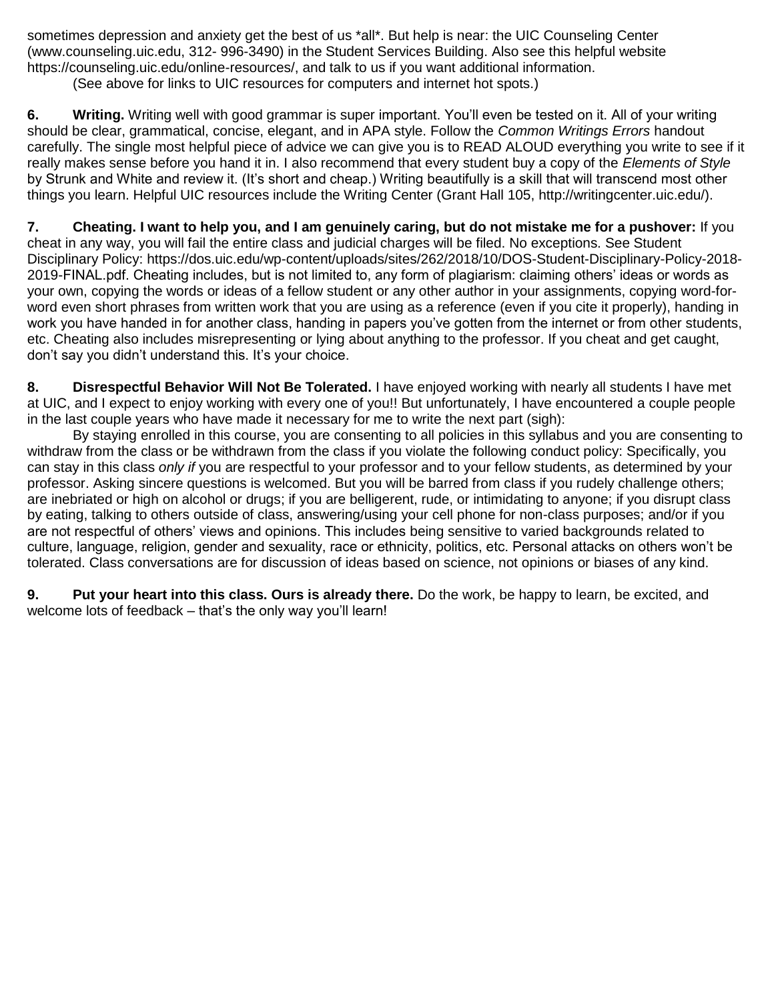sometimes depression and anxiety get the best of us \*all\*. But help is near: the UIC Counseling Center (www.counseling.uic.edu, 312- 996-3490) in the Student Services Building. Also see this helpful website https://counseling.uic.edu/online-resources/, and talk to us if you want additional information.

(See above for links to UIC resources for computers and internet hot spots.)

**6. Writing.** Writing well with good grammar is super important. You'll even be tested on it. All of your writing should be clear, grammatical, concise, elegant, and in APA style. Follow the *Common Writings Errors* handout carefully. The single most helpful piece of advice we can give you is to READ ALOUD everything you write to see if it really makes sense before you hand it in. I also recommend that every student buy a copy of the *Elements of Style* by Strunk and White and review it. (It's short and cheap.) Writing beautifully is a skill that will transcend most other things you learn. Helpful UIC resources include the Writing Center (Grant Hall 105, http://writingcenter.uic.edu/).

**7. Cheating. I want to help you, and I am genuinely caring, but do not mistake me for a pushover:** If you cheat in any way, you will fail the entire class and judicial charges will be filed. No exceptions. See Student Disciplinary Policy: https://dos.uic.edu/wp-content/uploads/sites/262/2018/10/DOS-Student-Disciplinary-Policy-2018- 2019-FINAL.pdf. Cheating includes, but is not limited to, any form of plagiarism: claiming others' ideas or words as your own, copying the words or ideas of a fellow student or any other author in your assignments, copying word-forword even short phrases from written work that you are using as a reference (even if you cite it properly), handing in work you have handed in for another class, handing in papers you've gotten from the internet or from other students, etc. Cheating also includes misrepresenting or lying about anything to the professor. If you cheat and get caught, don't say you didn't understand this. It's your choice.

**8. Disrespectful Behavior Will Not Be Tolerated.** I have enjoyed working with nearly all students I have met at UIC, and I expect to enjoy working with every one of you!! But unfortunately, I have encountered a couple people in the last couple years who have made it necessary for me to write the next part (sigh):

By staying enrolled in this course, you are consenting to all policies in this syllabus and you are consenting to withdraw from the class or be withdrawn from the class if you violate the following conduct policy: Specifically, you can stay in this class *only if* you are respectful to your professor and to your fellow students, as determined by your professor. Asking sincere questions is welcomed. But you will be barred from class if you rudely challenge others; are inebriated or high on alcohol or drugs; if you are belligerent, rude, or intimidating to anyone; if you disrupt class by eating, talking to others outside of class, answering/using your cell phone for non-class purposes; and/or if you are not respectful of others' views and opinions. This includes being sensitive to varied backgrounds related to culture, language, religion, gender and sexuality, race or ethnicity, politics, etc. Personal attacks on others won't be tolerated. Class conversations are for discussion of ideas based on science, not opinions or biases of any kind.

**9. Put your heart into this class. Ours is already there.** Do the work, be happy to learn, be excited, and welcome lots of feedback – that's the only way you'll learn!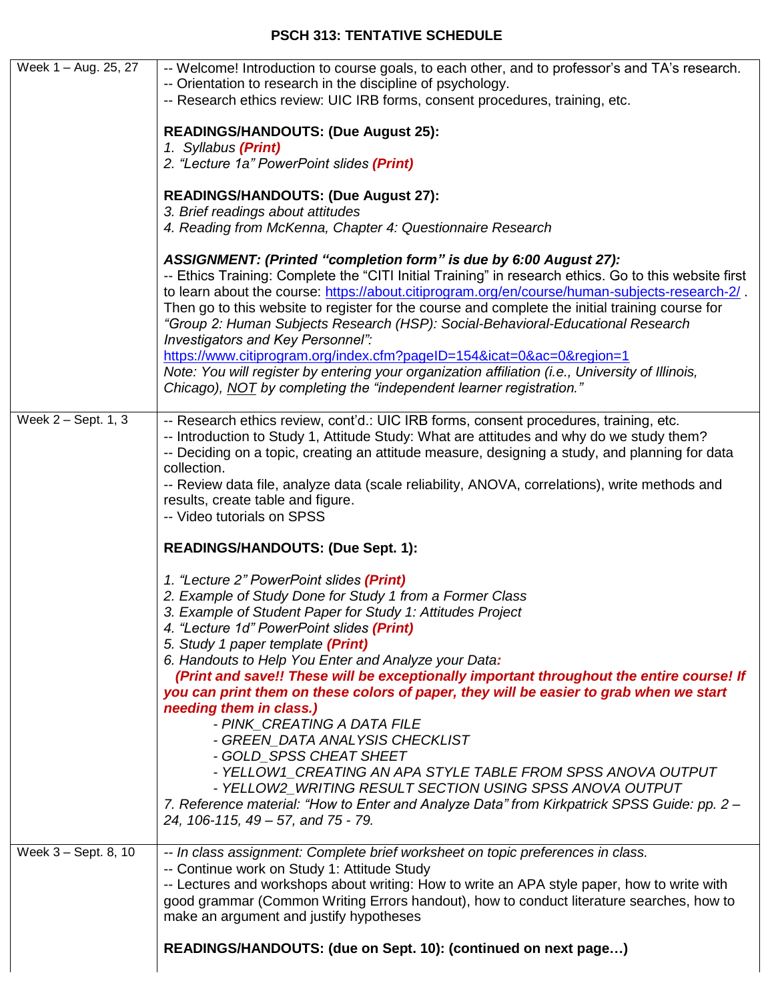# **PSCH 313: TENTATIVE SCHEDULE**

| Week 1 - Aug. 25, 27 | -- Welcome! Introduction to course goals, to each other, and to professor's and TA's research.<br>-- Orientation to research in the discipline of psychology.<br>-- Research ethics review: UIC IRB forms, consent procedures, training, etc.<br><b>READINGS/HANDOUTS: (Due August 25):</b><br>1. Syllabus (Print)<br>2. "Lecture 1a" PowerPoint slides (Print)<br><b>READINGS/HANDOUTS: (Due August 27):</b><br>3. Brief readings about attitudes<br>4. Reading from McKenna, Chapter 4: Questionnaire Research<br>ASSIGNMENT: (Printed "completion form" is due by 6:00 August 27):                                                                                                                                                                                                                                                                                                       |
|----------------------|---------------------------------------------------------------------------------------------------------------------------------------------------------------------------------------------------------------------------------------------------------------------------------------------------------------------------------------------------------------------------------------------------------------------------------------------------------------------------------------------------------------------------------------------------------------------------------------------------------------------------------------------------------------------------------------------------------------------------------------------------------------------------------------------------------------------------------------------------------------------------------------------|
|                      | -- Ethics Training: Complete the "CITI Initial Training" in research ethics. Go to this website first<br>to learn about the course: https://about.citiprogram.org/en/course/human-subjects-research-2/.<br>Then go to this website to register for the course and complete the initial training course for<br>"Group 2: Human Subjects Research (HSP): Social-Behavioral-Educational Research<br>Investigators and Key Personnel":<br>https://www.citiprogram.org/index.cfm?pageID=154&icat=0∾=0&region=1<br>Note: You will register by entering your organization affiliation (i.e., University of Illinois,<br>Chicago), NOT by completing the "independent learner registration."                                                                                                                                                                                                        |
| Week 2 - Sept. 1, 3  | -- Research ethics review, cont'd.: UIC IRB forms, consent procedures, training, etc.<br>-- Introduction to Study 1, Attitude Study: What are attitudes and why do we study them?<br>-- Deciding on a topic, creating an attitude measure, designing a study, and planning for data<br>collection.<br>-- Review data file, analyze data (scale reliability, ANOVA, correlations), write methods and<br>results, create table and figure.<br>-- Video tutorials on SPSS<br><b>READINGS/HANDOUTS: (Due Sept. 1):</b>                                                                                                                                                                                                                                                                                                                                                                          |
|                      | 1. "Lecture 2" PowerPoint slides (Print)<br>2. Example of Study Done for Study 1 from a Former Class<br>3. Example of Student Paper for Study 1: Attitudes Project<br>4. "Lecture 1d" PowerPoint slides (Print)<br>5. Study 1 paper template (Print)<br>6. Handouts to Help You Enter and Analyze your Data:<br>(Print and save!! These will be exceptionally important throughout the entire course! If<br>you can print them on these colors of paper, they will be easier to grab when we start<br>needing them in class.)<br>- PINK CREATING A DATA FILE<br>- GREEN DATA ANALYSIS CHECKLIST<br>- GOLD_SPSS CHEAT SHEET<br>- YELLOW1_CREATING AN APA STYLE TABLE FROM SPSS ANOVA OUTPUT<br>- YELLOW2_WRITING RESULT SECTION USING SPSS ANOVA OUTPUT<br>7. Reference material: "How to Enter and Analyze Data" from Kirkpatrick SPSS Guide: pp. 2 -<br>24, 106-115, 49 - 57, and 75 - 79. |
| Week 3 - Sept. 8, 10 | -- In class assignment: Complete brief worksheet on topic preferences in class.<br>-- Continue work on Study 1: Attitude Study<br>-- Lectures and workshops about writing: How to write an APA style paper, how to write with<br>good grammar (Common Writing Errors handout), how to conduct literature searches, how to<br>make an argument and justify hypotheses<br>READINGS/HANDOUTS: (due on Sept. 10): (continued on next page)                                                                                                                                                                                                                                                                                                                                                                                                                                                      |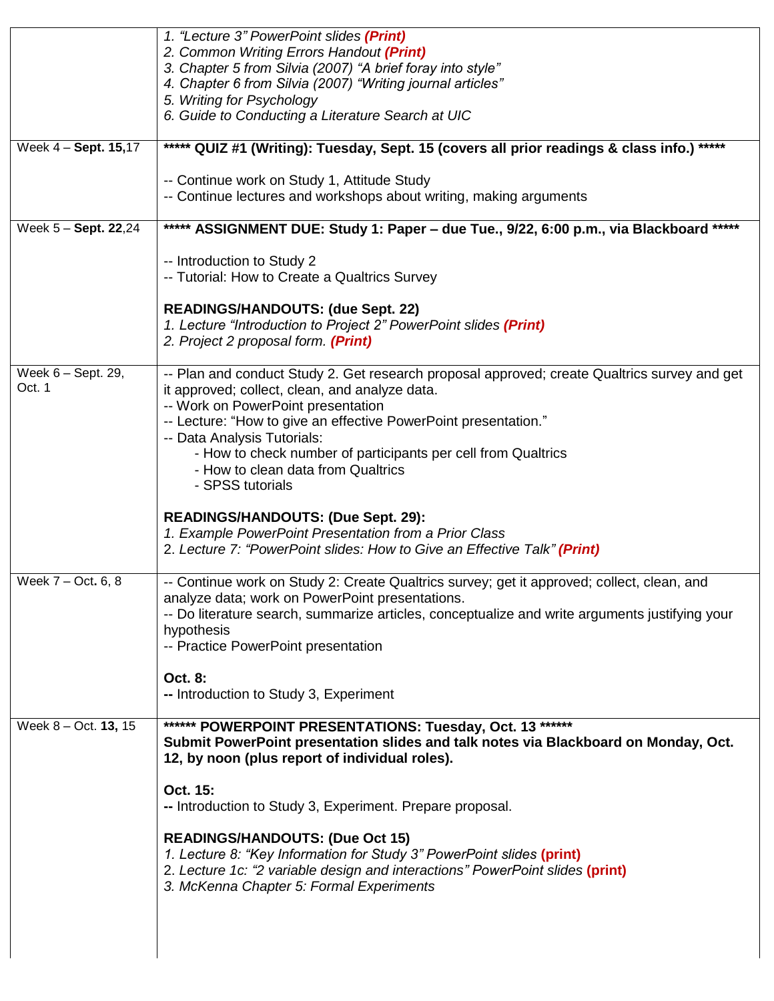|                      | 1. "Lecture 3" PowerPoint slides (Print)                                                                        |
|----------------------|-----------------------------------------------------------------------------------------------------------------|
|                      | 2. Common Writing Errors Handout (Print)                                                                        |
|                      | 3. Chapter 5 from Silvia (2007) "A brief foray into style"                                                      |
|                      | 4. Chapter 6 from Silvia (2007) "Writing journal articles"                                                      |
|                      | 5. Writing for Psychology<br>6. Guide to Conducting a Literature Search at UIC                                  |
|                      |                                                                                                                 |
| Week 4 - Sept. 15,17 | ***** QUIZ #1 (Writing): Tuesday, Sept. 15 (covers all prior readings & class info.) *****                      |
|                      | -- Continue work on Study 1, Attitude Study                                                                     |
|                      | -- Continue lectures and workshops about writing, making arguments                                              |
| Week 5 - Sept. 22,24 | ***** ASSIGNMENT DUE: Study 1: Paper - due Tue., 9/22, 6:00 p.m., via Blackboard *****                          |
|                      | -- Introduction to Study 2                                                                                      |
|                      | -- Tutorial: How to Create a Qualtrics Survey                                                                   |
|                      |                                                                                                                 |
|                      | <b>READINGS/HANDOUTS: (due Sept. 22)</b><br>1. Lecture "Introduction to Project 2" PowerPoint slides (Print)    |
|                      | 2. Project 2 proposal form. (Print)                                                                             |
|                      |                                                                                                                 |
| Week 6 - Sept. 29,   | -- Plan and conduct Study 2. Get research proposal approved; create Qualtrics survey and get                    |
| Oct. 1               | it approved; collect, clean, and analyze data.                                                                  |
|                      | -- Work on PowerPoint presentation                                                                              |
|                      | -- Lecture: "How to give an effective PowerPoint presentation."<br>-- Data Analysis Tutorials:                  |
|                      | - How to check number of participants per cell from Qualtrics                                                   |
|                      | - How to clean data from Qualtrics                                                                              |
|                      | - SPSS tutorials                                                                                                |
|                      | <b>READINGS/HANDOUTS: (Due Sept. 29):</b>                                                                       |
|                      | 1. Example PowerPoint Presentation from a Prior Class                                                           |
|                      | 2. Lecture 7: "PowerPoint slides: How to Give an Effective Talk" (Print)                                        |
| Week 7 - Oct. 6, 8   | -- Continue work on Study 2: Create Qualtrics survey; get it approved; collect, clean, and                      |
|                      | analyze data; work on PowerPoint presentations.                                                                 |
|                      | -- Do literature search, summarize articles, conceptualize and write arguments justifying your                  |
|                      | hypothesis                                                                                                      |
|                      | -- Practice PowerPoint presentation                                                                             |
|                      | Oct. 8:                                                                                                         |
|                      | -- Introduction to Study 3, Experiment                                                                          |
| Week 8 - Oct. 13, 15 | ****** POWERPOINT PRESENTATIONS: Tuesday, Oct. 13 ******                                                        |
|                      | Submit PowerPoint presentation slides and talk notes via Blackboard on Monday, Oct.                             |
|                      | 12, by noon (plus report of individual roles).                                                                  |
|                      | Oct. 15:                                                                                                        |
|                      | -- Introduction to Study 3, Experiment. Prepare proposal.                                                       |
|                      |                                                                                                                 |
|                      | <b>READINGS/HANDOUTS: (Due Oct 15)</b><br>1. Lecture 8: "Key Information for Study 3" PowerPoint slides (print) |
|                      | 2. Lecture 1c: "2 variable design and interactions" PowerPoint slides (print)                                   |
|                      | 3. McKenna Chapter 5: Formal Experiments                                                                        |
|                      |                                                                                                                 |
|                      |                                                                                                                 |
|                      |                                                                                                                 |
|                      |                                                                                                                 |